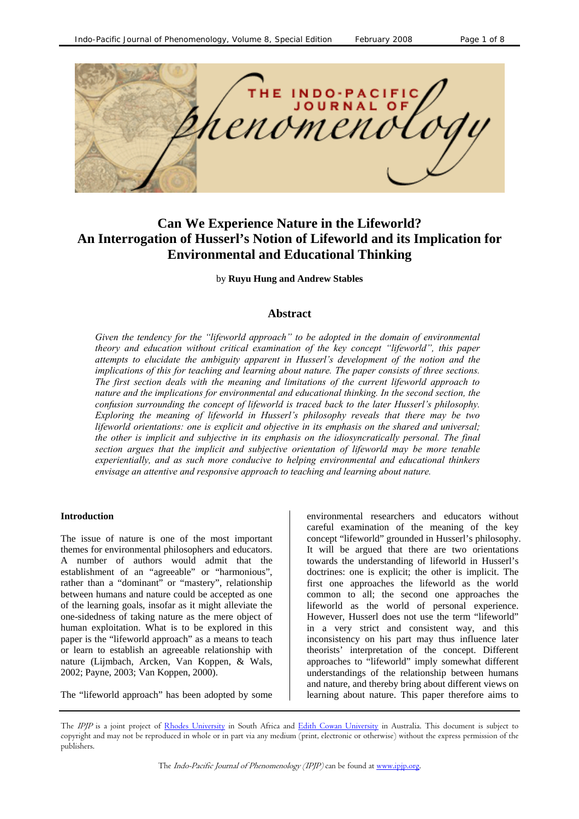

# **Can We Experience Nature in the Lifeworld? An Interrogation of Husserl's Notion of Lifeworld and its Implication for Environmental and Educational Thinking**

by **Ruyu Hung and Andrew Stables**

## **Abstract**

*Given the tendency for the "lifeworld approach" to be adopted in the domain of environmental theory and education without critical examination of the key concept "lifeworld", this paper attempts to elucidate the ambiguity apparent in Husserl's development of the notion and the implications of this for teaching and learning about nature. The paper consists of three sections. The first section deals with the meaning and limitations of the current lifeworld approach to nature and the implications for environmental and educational thinking. In the second section, the confusion surrounding the concept of lifeworld is traced back to the later Husserl's philosophy. Exploring the meaning of lifeworld in Husserl's philosophy reveals that there may be two lifeworld orientations: one is explicit and objective in its emphasis on the shared and universal; the other is implicit and subjective in its emphasis on the idiosyncratically personal. The final section argues that the implicit and subjective orientation of lifeworld may be more tenable experientially, and as such more conducive to helping environmental and educational thinkers envisage an attentive and responsive approach to teaching and learning about nature.* 

### **Introduction**

The issue of nature is one of the most important themes for environmental philosophers and educators. A number of authors would admit that the establishment of an "agreeable" or "harmonious", rather than a "dominant" or "mastery", relationship between humans and nature could be accepted as one of the learning goals, insofar as it might alleviate the one-sidedness of taking nature as the mere object of human exploitation. What is to be explored in this paper is the "lifeworld approach" as a means to teach or learn to establish an agreeable relationship with nature (Lijmbach, Arcken, Van Koppen, & Wals, 2002; Payne, 2003; Van Koppen, 2000).

The "lifeworld approach" has been adopted by some

environmental researchers and educators without careful examination of the meaning of the key concept "lifeworld" grounded in Husserl's philosophy. It will be argued that there are two orientations towards the understanding of lifeworld in Husserl's doctrines: one is explicit; the other is implicit. The first one approaches the lifeworld as the world common to all; the second one approaches the lifeworld as the world of personal experience. However, Husserl does not use the term "lifeworld" in a very strict and consistent way, and this inconsistency on his part may thus influence later theorists' interpretation of the concept. Different approaches to "lifeworld" imply somewhat different understandings of the relationship between humans and nature, and thereby bring about different views on learning about nature. This paper therefore aims to

The IPJP is a joint project of Rhodes University in South Africa and Edith Cowan University in Australia. This document is subject to copyright and may not be reproduced in whole or in part via any medium (print, electronic or otherwise) without the express permission of the publishers.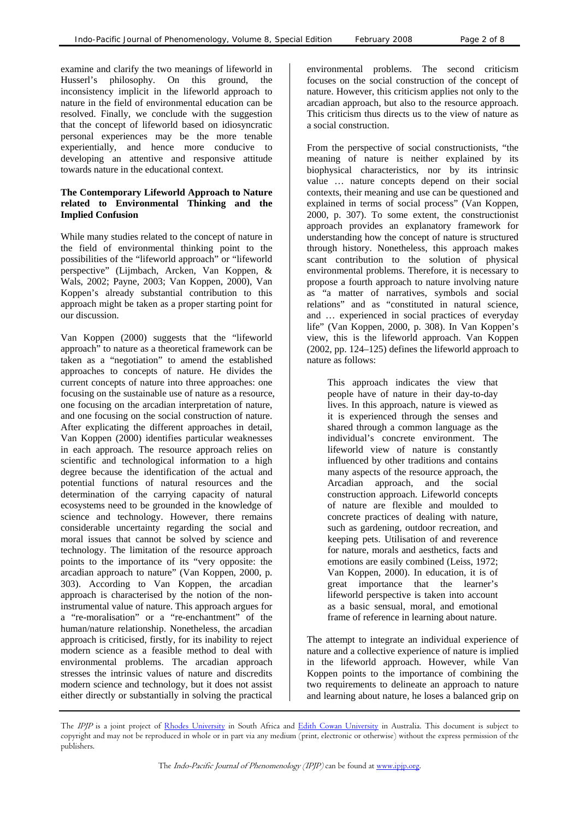examine and clarify the two meanings of lifeworld in Husserl's philosophy. On this ground, the inconsistency implicit in the lifeworld approach to nature in the field of environmental education can be resolved. Finally, we conclude with the suggestion that the concept of lifeworld based on idiosyncratic personal experiences may be the more tenable experientially, and hence more conducive to developing an attentive and responsive attitude towards nature in the educational context.

# **The Contemporary Lifeworld Approach to Nature related to Environmental Thinking and the Implied Confusion**

While many studies related to the concept of nature in the field of environmental thinking point to the possibilities of the "lifeworld approach" or "lifeworld perspective" (Lijmbach, Arcken, Van Koppen, & Wals, 2002; Payne, 2003; Van Koppen, 2000), Van Koppen's already substantial contribution to this approach might be taken as a proper starting point for our discussion.

Van Koppen (2000) suggests that the "lifeworld approach" to nature as a theoretical framework can be taken as a "negotiation" to amend the established approaches to concepts of nature. He divides the current concepts of nature into three approaches: one focusing on the sustainable use of nature as a resource, one focusing on the arcadian interpretation of nature, and one focusing on the social construction of nature. After explicating the different approaches in detail, Van Koppen (2000) identifies particular weaknesses in each approach. The resource approach relies on scientific and technological information to a high degree because the identification of the actual and potential functions of natural resources and the determination of the carrying capacity of natural ecosystems need to be grounded in the knowledge of science and technology. However, there remains considerable uncertainty regarding the social and moral issues that cannot be solved by science and technology. The limitation of the resource approach points to the importance of its "very opposite: the arcadian approach to nature" (Van Koppen, 2000, p. 303). According to Van Koppen, the arcadian approach is characterised by the notion of the noninstrumental value of nature. This approach argues for a "re-moralisation" or a "re-enchantment" of the human/nature relationship. Nonetheless, the arcadian approach is criticised, firstly, for its inability to reject modern science as a feasible method to deal with environmental problems. The arcadian approach stresses the intrinsic values of nature and discredits modern science and technology, but it does not assist either directly or substantially in solving the practical

environmental problems. The second criticism focuses on the social construction of the concept of nature. However, this criticism applies not only to the arcadian approach, but also to the resource approach. This criticism thus directs us to the view of nature as a social construction.

From the perspective of social constructionists, "the meaning of nature is neither explained by its biophysical characteristics, nor by its intrinsic value … nature concepts depend on their social contexts, their meaning and use can be questioned and explained in terms of social process" (Van Koppen, 2000, p. 307). To some extent, the constructionist approach provides an explanatory framework for understanding how the concept of nature is structured through history. Nonetheless, this approach makes scant contribution to the solution of physical environmental problems. Therefore, it is necessary to propose a fourth approach to nature involving nature as "a matter of narratives, symbols and social relations" and as "constituted in natural science, and … experienced in social practices of everyday life" (Van Koppen, 2000, p. 308). In Van Koppen's view, this is the lifeworld approach. Van Koppen (2002, pp. 124–125) defines the lifeworld approach to nature as follows:

This approach indicates the view that people have of nature in their day-to-day lives. In this approach, nature is viewed as it is experienced through the senses and shared through a common language as the individual's concrete environment. The lifeworld view of nature is constantly influenced by other traditions and contains many aspects of the resource approach, the Arcadian approach, and the social construction approach. Lifeworld concepts of nature are flexible and moulded to concrete practices of dealing with nature, such as gardening, outdoor recreation, and keeping pets. Utilisation of and reverence for nature, morals and aesthetics, facts and emotions are easily combined (Leiss, 1972; Van Koppen, 2000). In education, it is of great importance that the learner's lifeworld perspective is taken into account as a basic sensual, moral, and emotional frame of reference in learning about nature.

The attempt to integrate an individual experience of nature and a collective experience of nature is implied in the lifeworld approach. However, while Van Koppen points to the importance of combining the two requirements to delineate an approach to nature and learning about nature, he loses a balanced grip on

The IPJP is a joint project of Rhodes University in South Africa and Edith Cowan University in Australia. This document is subject to copyright and may not be reproduced in whole or in part via any medium (print, electronic or otherwise) without the express permission of the publishers.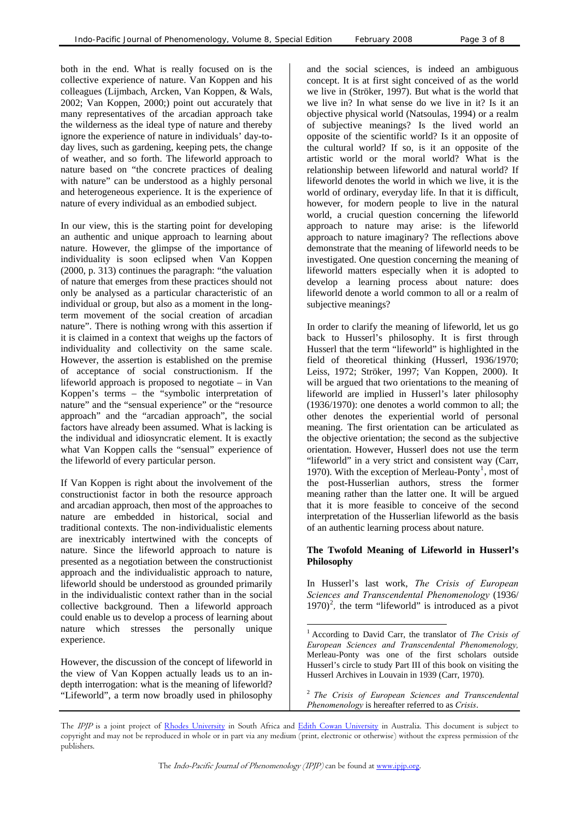both in the end. What is really focused on is the collective experience of nature. Van Koppen and his colleagues (Lijmbach, Arcken, Van Koppen, & Wals, 2002; Van Koppen, 2000;) point out accurately that many representatives of the arcadian approach take the wilderness as the ideal type of nature and thereby ignore the experience of nature in individuals' day-today lives, such as gardening, keeping pets, the change of weather, and so forth. The lifeworld approach to nature based on "the concrete practices of dealing with nature" can be understood as a highly personal and heterogeneous experience. It is the experience of nature of every individual as an embodied subject.

In our view, this is the starting point for developing an authentic and unique approach to learning about nature. However, the glimpse of the importance of individuality is soon eclipsed when Van Koppen (2000, p. 313) continues the paragraph: "the valuation of nature that emerges from these practices should not only be analysed as a particular characteristic of an individual or group, but also as a moment in the longterm movement of the social creation of arcadian nature". There is nothing wrong with this assertion if it is claimed in a context that weighs up the factors of individuality and collectivity on the same scale. However, the assertion is established on the premise of acceptance of social constructionism. If the lifeworld approach is proposed to negotiate – in Van Koppen's terms – the "symbolic interpretation of nature" and the "sensual experience" or the "resource approach" and the "arcadian approach", the social factors have already been assumed. What is lacking is the individual and idiosyncratic element. It is exactly what Van Koppen calls the "sensual" experience of the lifeworld of every particular person.

If Van Koppen is right about the involvement of the constructionist factor in both the resource approach and arcadian approach, then most of the approaches to nature are embedded in historical, social and traditional contexts. The non-individualistic elements are inextricably intertwined with the concepts of nature. Since the lifeworld approach to nature is presented as a negotiation between the constructionist approach and the individualistic approach to nature, lifeworld should be understood as grounded primarily in the individualistic context rather than in the social collective background. Then a lifeworld approach could enable us to develop a process of learning about nature which stresses the personally unique experience.

<span id="page-2-0"></span>However, the discussion of the concept of lifeworld in the view of Van Koppen actually leads us to an indepth interrogation: what is the meaning of lifeworld? "Lifeworld", a term now broadly used in philosophy

and the social sciences, is indeed an ambiguous concept. It is at first sight conceived of as the world we live in (Ströker, 1997). But what is the world that we live in? In what sense do we live in it? Is it an objective physical world (Natsoulas, 1994) or a realm of subjective meanings? Is the lived world an opposite of the scientific world? Is it an opposite of the cultural world? If so, is it an opposite of the artistic world or the moral world? What is the relationship between lifeworld and natural world? If lifeworld denotes the world in which we live, it is the world of ordinary, everyday life. In that it is difficult, however, for modern people to live in the natural world, a crucial question concerning the lifeworld approach to nature may arise: is the lifeworld approach to nature imaginary? The reflections above demonstrate that the meaning of lifeworld needs to be investigated. One question concerning the meaning of lifeworld matters especially when it is adopted to develop a learning process about nature: does lifeworld denote a world common to all or a realm of subjective meanings?

In order to clarify the meaning of lifeworld, let us go back to Husserl's philosophy. It is first through Husserl that the term "lifeworld" is highlighted in the field of theoretical thinking (Husserl, 1936/1970; Leiss, 1972; Ströker, 1997; Van Koppen, 2000). It will be argued that two orientations to the meaning of lifeworld are implied in Husserl's later philosophy (1936/1970): one denotes a world common to all; the other denotes the experiential world of personal meaning. The first orientation can be articulated as the objective orientation; the second as the subjective orientation. However, Husserl does not use the term "lifeworld" in a very strict and consistent way (Carr, [1](#page-2-0)970). With the exception of Merleau-Ponty<sup>1</sup>, most of the post-Husserlian authors, stress the former meaning rather than the latter one. It will be argued that it is more feasible to conceive of the second interpretation of the Husserlian lifeworld as the basis of an authentic learning process about nature.

## **The Twofold Meaning of Lifeworld in Husserl's Philosophy**

In Husserl's last work, *The Crisis of European Sciences and Transcendental Phenomenology* (1936/  $1970$ <sup>[2](#page-2-1)</sup>, the term "lifeworld" is introduced as a pivot

<sup>2</sup> *The Crisis of European Sciences and Transcendental Phenomenology* is hereafter referred to as *Crisis*.

 $\overline{a}$ 

<sup>&</sup>lt;sup>1</sup> According to David Carr, the translator of *The Crisis of European Sciences and Transcendental Phenomenology,* Merleau-Ponty was one of the first scholars outside Husserl's circle to study Part III of this book on visiting the Husserl Archives in Louvain in 1939 (Carr, 1970).

<span id="page-2-1"></span>The IPJP is a joint project of Rhodes University in South Africa and Edith Cowan University in Australia. This document is subject to copyright and may not be reproduced in whole or in part via any medium (print, electronic or otherwise) without the express permission of the publishers.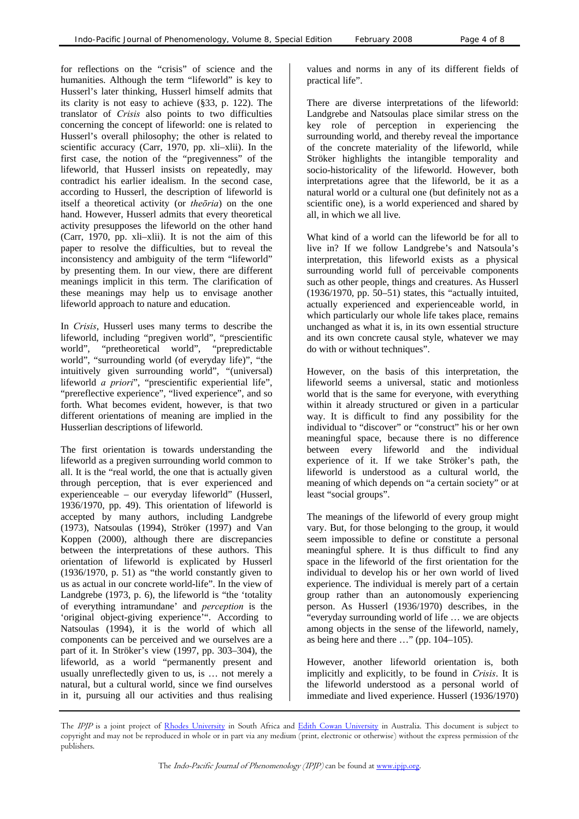for reflections on the "crisis" of science and the humanities. Although the term "lifeworld" is key to Husserl's later thinking, Husserl himself admits that its clarity is not easy to achieve (§33, p. 122). The translator of *Crisis* also points to two difficulties concerning the concept of lifeworld: one is related to Husserl's overall philosophy; the other is related to scientific accuracy (Carr, 1970, pp. xli–xlii). In the first case, the notion of the "pregivenness" of the lifeworld, that Husserl insists on repeatedly, may contradict his earlier idealism. In the second case, according to Husserl, the description of lifeworld is itself a theoretical activity (or *theōria*) on the one hand. However, Husserl admits that every theoretical activity presupposes the lifeworld on the other hand (Carr, 1970, pp. xli–xlii). It is not the aim of this paper to resolve the difficulties, but to reveal the inconsistency and ambiguity of the term "lifeworld" by presenting them. In our view, there are different meanings implicit in this term. The clarification of these meanings may help us to envisage another lifeworld approach to nature and education.

In *Crisis*, Husserl uses many terms to describe the lifeworld, including "pregiven world", "prescientific world", "pretheoretical world", "prepredictable world", "surrounding world (of everyday life)", "the intuitively given surrounding world", "(universal) lifeworld *a priori*", "prescientific experiential life", "prereflective experience", "lived experience", and so forth. What becomes evident, however, is that two different orientations of meaning are implied in the Husserlian descriptions of lifeworld.

The first orientation is towards understanding the lifeworld as a pregiven surrounding world common to all. It is the "real world, the one that is actually given through perception, that is ever experienced and experienceable – our everyday lifeworld" (Husserl, 1936/1970, pp. 49). This orientation of lifeworld is accepted by many authors, including Landgrebe (1973), Natsoulas (1994), Ströker (1997) and Van Koppen (2000), although there are discrepancies between the interpretations of these authors. This orientation of lifeworld is explicated by Husserl (1936/1970, p. 51) as "the world constantly given to us as actual in our concrete world-life". In the view of Landgrebe (1973, p. 6), the lifeworld is "the 'totality of everything intramundane' and *perception* is the 'original object-giving experience'". According to Natsoulas (1994), it is the world of which all components can be perceived and we ourselves are a part of it. In Ströker's view (1997, pp. 303–304), the lifeworld, as a world "permanently present and usually unreflectedly given to us, is … not merely a natural, but a cultural world, since we find ourselves in it, pursuing all our activities and thus realising

values and norms in any of its different fields of practical life".

There are diverse interpretations of the lifeworld: Landgrebe and Natsoulas place similar stress on the key role of perception in experiencing the surrounding world, and thereby reveal the importance of the concrete materiality of the lifeworld, while Ströker highlights the intangible temporality and socio-historicality of the lifeworld. However, both interpretations agree that the lifeworld, be it as a natural world or a cultural one (but definitely not as a scientific one), is a world experienced and shared by all, in which we all live.

What kind of a world can the lifeworld be for all to live in? If we follow Landgrebe's and Natsoula's interpretation, this lifeworld exists as a physical surrounding world full of perceivable components such as other people, things and creatures. As Husserl (1936/1970, pp. 50–51) states, this "actually intuited, actually experienced and experienceable world, in which particularly our whole life takes place, remains unchanged as what it is, in its own essential structure and its own concrete causal style, whatever we may do with or without techniques".

However, on the basis of this interpretation, the lifeworld seems a universal, static and motionless world that is the same for everyone, with everything within it already structured or given in a particular way. It is difficult to find any possibility for the individual to "discover" or "construct" his or her own meaningful space, because there is no difference between every lifeworld and the individual experience of it. If we take Ströker's path, the lifeworld is understood as a cultural world, the meaning of which depends on "a certain society" or at least "social groups".

The meanings of the lifeworld of every group might vary. But, for those belonging to the group, it would seem impossible to define or constitute a personal meaningful sphere. It is thus difficult to find any space in the lifeworld of the first orientation for the individual to develop his or her own world of lived experience. The individual is merely part of a certain group rather than an autonomously experiencing person. As Husserl (1936/1970) describes, in the "everyday surrounding world of life … we are objects among objects in the sense of the lifeworld, namely, as being here and there …" (pp. 104–105).

However, another lifeworld orientation is, both implicitly and explicitly, to be found in *Crisis*. It is the lifeworld understood as a personal world of immediate and lived experience. Husserl (1936/1970)

The IPJP is a joint project of Rhodes University in South Africa and Edith Cowan University in Australia. This document is subject to copyright and may not be reproduced in whole or in part via any medium (print, electronic or otherwise) without the express permission of the publishers.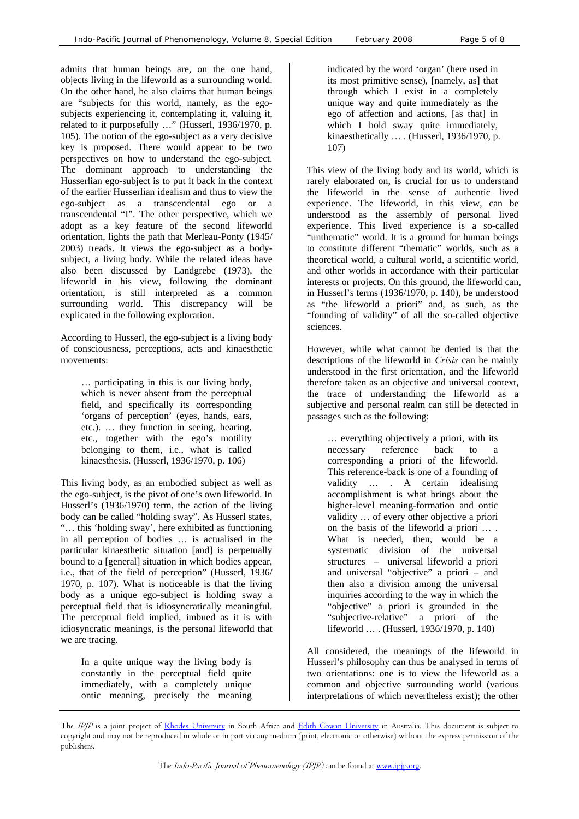admits that human beings are, on the one hand, objects living in the lifeworld as a surrounding world. On the other hand, he also claims that human beings are "subjects for this world, namely, as the egosubjects experiencing it, contemplating it, valuing it, related to it purposefully …" (Husserl, 1936/1970, p. 105). The notion of the ego-subject as a very decisive key is proposed. There would appear to be two perspectives on how to understand the ego-subject. The dominant approach to understanding the Husserlian ego-subject is to put it back in the context of the earlier Husserlian idealism and thus to view the ego-subject as a transcendental ego or a transcendental "I". The other perspective, which we adopt as a key feature of the second lifeworld orientation, lights the path that Merleau-Ponty (1945/ 2003) treads. It views the ego-subject as a bodysubject, a living body. While the related ideas have also been discussed by Landgrebe (1973), the lifeworld in his view, following the dominant orientation, is still interpreted as a common surrounding world. This discrepancy will be

According to Husserl, the ego-subject is a living body of consciousness, perceptions, acts and kinaesthetic movements:

explicated in the following exploration.

… participating in this is our living body, which is never absent from the perceptual field, and specifically its corresponding 'organs of perception' (eyes, hands, ears, etc.). … they function in seeing, hearing, etc., together with the ego's motility belonging to them, i.e., what is called kinaesthesis. (Husserl, 1936/1970, p. 106)

This living body, as an embodied subject as well as the ego-subject, is the pivot of one's own lifeworld. In Husserl's (1936/1970) term, the action of the living body can be called "holding sway". As Husserl states, "… this 'holding sway', here exhibited as functioning in all perception of bodies … is actualised in the particular kinaesthetic situation [and] is perpetually bound to a [general] situation in which bodies appear, i.e., that of the field of perception" (Husserl, 1936/ 1970, p. 107). What is noticeable is that the living body as a unique ego-subject is holding sway a perceptual field that is idiosyncratically meaningful. The perceptual field implied, imbued as it is with idiosyncratic meanings, is the personal lifeworld that we are tracing.

In a quite unique way the living body is constantly in the perceptual field quite immediately, with a completely unique ontic meaning, precisely the meaning indicated by the word 'organ' (here used in its most primitive sense), [namely, as] that through which I exist in a completely unique way and quite immediately as the ego of affection and actions, [as that] in which I hold sway quite immediately, kinaesthetically … . (Husserl, 1936/1970, p. 107)

This view of the living body and its world, which is rarely elaborated on, is crucial for us to understand the lifeworld in the sense of authentic lived experience. The lifeworld, in this view, can be understood as the assembly of personal lived experience. This lived experience is a so-called "unthematic" world. It is a ground for human beings to constitute different "thematic" worlds, such as a theoretical world, a cultural world, a scientific world, and other worlds in accordance with their particular interests or projects. On this ground, the lifeworld can, in Husserl's terms (1936/1970, p. 140), be understood as "the lifeworld a priori" and, as such, as the "founding of validity" of all the so-called objective sciences.

However, while what cannot be denied is that the descriptions of the lifeworld in *Crisis* can be mainly understood in the first orientation, and the lifeworld therefore taken as an objective and universal context, the trace of understanding the lifeworld as a subjective and personal realm can still be detected in passages such as the following:

… everything objectively a priori, with its necessary reference back to a corresponding a priori of the lifeworld. This reference-back is one of a founding of validity … . A certain idealising accomplishment is what brings about the higher-level meaning-formation and ontic validity … of every other objective a priori on the basis of the lifeworld a priori … . What is needed, then, would be a systematic division of the universal structures – universal lifeworld a priori and universal "objective" a priori – and then also a division among the universal inquiries according to the way in which the "objective" a priori is grounded in the "subjective-relative" a priori of the lifeworld … . (Husserl, 1936/1970, p. 140)

All considered, the meanings of the lifeworld in Husserl's philosophy can thus be analysed in terms of two orientations: one is to view the lifeworld as a common and objective surrounding world (various interpretations of which nevertheless exist); the other

The IPJP is a joint project of Rhodes University in South Africa and Edith Cowan University in Australia. This document is subject to copyright and may not be reproduced in whole or in part via any medium (print, electronic or otherwise) without the express permission of the publishers.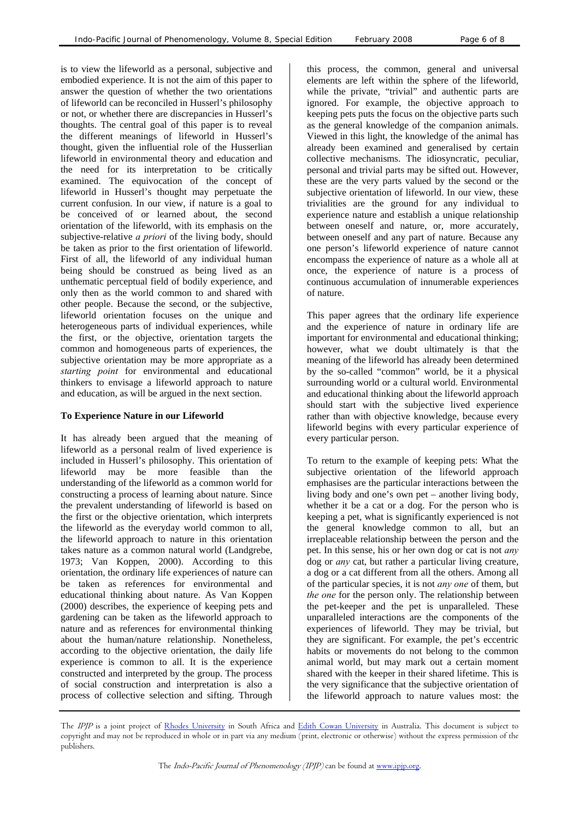is to view the lifeworld as a personal, subjective and embodied experience. It is not the aim of this paper to answer the question of whether the two orientations of lifeworld can be reconciled in Husserl's philosophy or not, or whether there are discrepancies in Husserl's thoughts. The central goal of this paper is to reveal the different meanings of lifeworld in Husserl's thought, given the influential role of the Husserlian lifeworld in environmental theory and education and the need for its interpretation to be critically examined. The equivocation of the concept of lifeworld in Husserl's thought may perpetuate the current confusion. In our view, if nature is a goal to be conceived of or learned about, the second orientation of the lifeworld, with its emphasis on the subjective-relative *a priori* of the living body, should be taken as prior to the first orientation of lifeworld. First of all, the lifeworld of any individual human being should be construed as being lived as an unthematic perceptual field of bodily experience, and only then as the world common to and shared with other people. Because the second, or the subjective, lifeworld orientation focuses on the unique and heterogeneous parts of individual experiences, while the first, or the objective, orientation targets the common and homogeneous parts of experiences, the subjective orientation may be more appropriate as a *starting point* for environmental and educational thinkers to envisage a lifeworld approach to nature and education, as will be argued in the next section.

## **To Experience Nature in our Lifeworld**

It has already been argued that the meaning of lifeworld as a personal realm of lived experience is included in Husserl's philosophy. This orientation of lifeworld may be more feasible than the understanding of the lifeworld as a common world for constructing a process of learning about nature. Since the prevalent understanding of lifeworld is based on the first or the objective orientation, which interprets the lifeworld as the everyday world common to all, the lifeworld approach to nature in this orientation takes nature as a common natural world (Landgrebe, 1973; Van Koppen, 2000). According to this orientation, the ordinary life experiences of nature can be taken as references for environmental and educational thinking about nature. As Van Koppen (2000) describes, the experience of keeping pets and gardening can be taken as the lifeworld approach to nature and as references for environmental thinking about the human/nature relationship. Nonetheless, according to the objective orientation, the daily life experience is common to all. It is the experience constructed and interpreted by the group. The process of social construction and interpretation is also a process of collective selection and sifting. Through

this process, the common, general and universal elements are left within the sphere of the lifeworld, while the private, "trivial" and authentic parts are ignored. For example, the objective approach to keeping pets puts the focus on the objective parts such as the general knowledge of the companion animals. Viewed in this light, the knowledge of the animal has already been examined and generalised by certain collective mechanisms. The idiosyncratic, peculiar, personal and trivial parts may be sifted out. However, these are the very parts valued by the second or the subjective orientation of lifeworld. In our view, these trivialities are the ground for any individual to experience nature and establish a unique relationship between oneself and nature, or, more accurately, between oneself and any part of nature. Because any one person's lifeworld experience of nature cannot encompass the experience of nature as a whole all at once, the experience of nature is a process of continuous accumulation of innumerable experiences of nature.

This paper agrees that the ordinary life experience and the experience of nature in ordinary life are important for environmental and educational thinking; however, what we doubt ultimately is that the meaning of the lifeworld has already been determined by the so-called "common" world, be it a physical surrounding world or a cultural world. Environmental and educational thinking about the lifeworld approach should start with the subjective lived experience rather than with objective knowledge, because every lifeworld begins with every particular experience of every particular person.

To return to the example of keeping pets: What the subjective orientation of the lifeworld approach emphasises are the particular interactions between the living body and one's own pet – another living body, whether it be a cat or a dog. For the person who is keeping a pet, what is significantly experienced is not the general knowledge common to all, but an irreplaceable relationship between the person and the pet. In this sense, his or her own dog or cat is not *any* dog or *any* cat, but rather a particular living creature, a dog or a cat different from all the others. Among all of the particular species, it is not *any one* of them, but *the one* for the person only. The relationship between the pet-keeper and the pet is unparalleled. These unparalleled interactions are the components of the experiences of lifeworld. They may be trivial, but they are significant. For example, the pet's eccentric habits or movements do not belong to the common animal world, but may mark out a certain moment shared with the keeper in their shared lifetime. This is the very significance that the subjective orientation of the lifeworld approach to nature values most: the

The IPJP is a joint project of Rhodes University in South Africa and Edith Cowan University in Australia. This document is subject to copyright and may not be reproduced in whole or in part via any medium (print, electronic or otherwise) without the express permission of the publishers.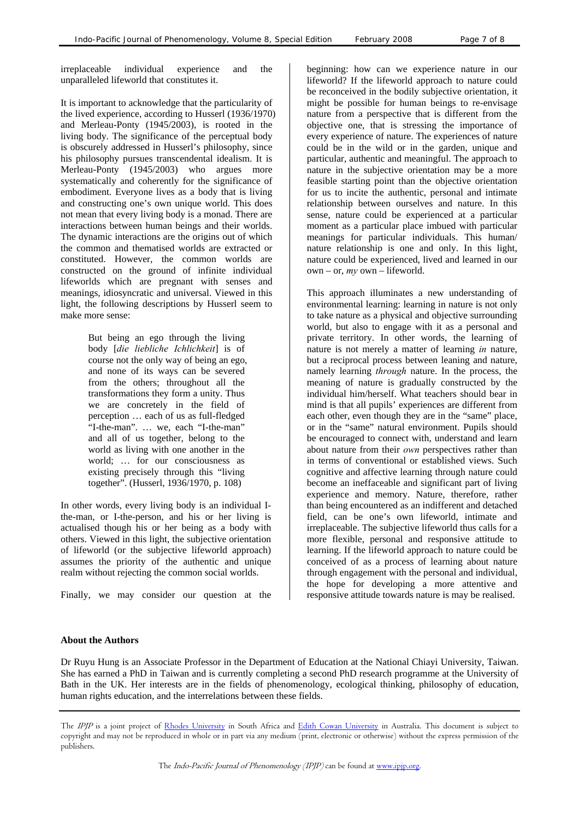irreplaceable individual experience and the unparalleled lifeworld that constitutes it.

It is important to acknowledge that the particularity of the lived experience, according to Husserl (1936/1970) and Merleau-Ponty (1945/2003), is rooted in the living body. The significance of the perceptual body is obscurely addressed in Husserl's philosophy, since his philosophy pursues transcendental idealism. It is Merleau-Ponty (1945/2003) who argues more systematically and coherently for the significance of embodiment. Everyone lives as a body that is living and constructing one's own unique world. This does not mean that every living body is a monad. There are interactions between human beings and their worlds. The dynamic interactions are the origins out of which the common and thematised worlds are extracted or constituted. However, the common worlds are constructed on the ground of infinite individual lifeworlds which are pregnant with senses and meanings, idiosyncratic and universal. Viewed in this light, the following descriptions by Husserl seem to make more sense:

> But being an ego through the living body [*die liebliche Ichlichkeit*] is of course not the only way of being an ego, and none of its ways can be severed from the others; throughout all the transformations they form a unity. Thus we are concretely in the field of perception … each of us as full-fledged "I-the-man". … we, each "I-the-man" and all of us together, belong to the world as living with one another in the world; … for our consciousness as existing precisely through this "living together". (Husserl, 1936/1970, p. 108)

In other words, every living body is an individual Ithe-man, or I-the-person, and his or her living is actualised though his or her being as a body with others. Viewed in this light, the subjective orientation of lifeworld (or the subjective lifeworld approach) assumes the priority of the authentic and unique realm without rejecting the common social worlds.

Finally, we may consider our question at the

beginning: how can we experience nature in our lifeworld? If the lifeworld approach to nature could be reconceived in the bodily subjective orientation, it might be possible for human beings to re-envisage nature from a perspective that is different from the objective one, that is stressing the importance of every experience of nature. The experiences of nature could be in the wild or in the garden, unique and particular, authentic and meaningful. The approach to nature in the subjective orientation may be a more feasible starting point than the objective orientation for us to incite the authentic, personal and intimate relationship between ourselves and nature. In this sense, nature could be experienced at a particular moment as a particular place imbued with particular meanings for particular individuals. This human/ nature relationship is one and only. In this light, nature could be experienced, lived and learned in our own – or, *my* own – lifeworld.

This approach illuminates a new understanding of environmental learning: learning in nature is not only to take nature as a physical and objective surrounding world, but also to engage with it as a personal and private territory. In other words, the learning of nature is not merely a matter of learning *in* nature, but a reciprocal process between leaning and nature, namely learning *through* nature. In the process, the meaning of nature is gradually constructed by the individual him/herself. What teachers should bear in mind is that all pupils' experiences are different from each other, even though they are in the "same" place, or in the "same" natural environment. Pupils should be encouraged to connect with, understand and learn about nature from their *own* perspectives rather than in terms of conventional or established views. Such cognitive and affective learning through nature could become an ineffaceable and significant part of living experience and memory. Nature, therefore, rather than being encountered as an indifferent and detached field, can be one's own lifeworld, intimate and irreplaceable. The subjective lifeworld thus calls for a more flexible, personal and responsive attitude to learning. If the lifeworld approach to nature could be conceived of as a process of learning about nature through engagement with the personal and individual, the hope for developing a more attentive and responsive attitude towards nature is may be realised.

#### **About the Authors**

Dr Ruyu Hung is an Associate Professor in the Department of Education at the National Chiayi University, Taiwan. She has earned a PhD in Taiwan and is currently completing a second PhD research programme at the University of Bath in the UK. Her interests are in the fields of phenomenology, ecological thinking, philosophy of education, human rights education, and the interrelations between these fields.

The IPJP is a joint project of Rhodes University in South Africa and Edith Cowan University in Australia. This document is subject to copyright and may not be reproduced in whole or in part via any medium (print, electronic or otherwise) without the express permission of the publishers.